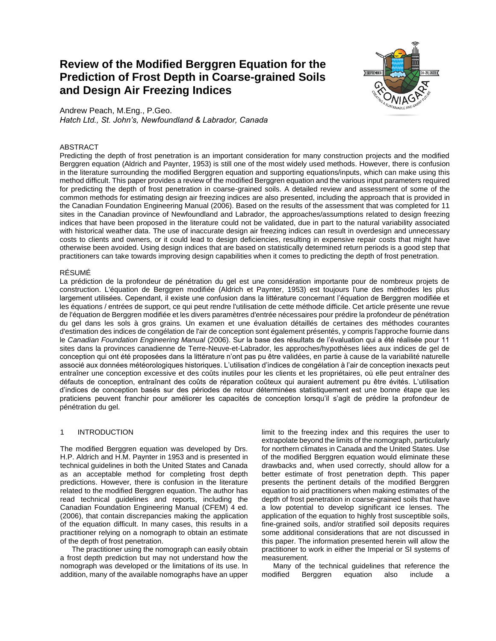# **Review of the Modified Berggren Equation for the Prediction of Frost Depth in Coarse-grained Soils and Design Air Freezing Indices**



Andrew Peach, M.Eng., P.Geo. *Hatch Ltd., St. John's, Newfoundland & Labrador, Canada*

# ABSTRACT

Predicting the depth of frost penetration is an important consideration for many construction projects and the modified Berggren equation (Aldrich and Paynter, 1953) is still one of the most widely used methods. However, there is confusion in the literature surrounding the modified Berggren equation and supporting equations/inputs, which can make using this method difficult. This paper provides a review of the modified Berggren equation and the various input parameters required for predicting the depth of frost penetration in coarse-grained soils. A detailed review and assessment of some of the common methods for estimating design air freezing indices are also presented, including the approach that is provided in the Canadian Foundation Engineering Manual (2006). Based on the results of the assessment that was completed for 11 sites in the Canadian province of Newfoundland and Labrador, the approaches/assumptions related to design freezing indices that have been proposed in the literature could not be validated, due in part to the natural variability associated with historical weather data. The use of inaccurate design air freezing indices can result in overdesign and unnecessary costs to clients and owners, or it could lead to design deficiencies, resulting in expensive repair costs that might have otherwise been avoided. Using design indices that are based on statistically determined return periods is a good step that practitioners can take towards improving design capabilities when it comes to predicting the depth of frost penetration.

# RÉSUMÉ

La prédiction de la profondeur de pénétration du gel est une considération importante pour de nombreux projets de construction. L'équation de Berggren modifiée (Aldrich et Paynter, 1953) est toujours l'une des méthodes les plus largement utilisées. Cependant, il existe une confusion dans la littérature concernant l'équation de Berggren modifiée et les équations / entrées de support, ce qui peut rendre l'utilisation de cette méthode difficile. Cet article présente une revue de l'équation de Berggren modifiée et les divers paramètres d'entrée nécessaires pour prédire la profondeur de pénétration du gel dans les sols à gros grains. Un examen et une évaluation détaillés de certaines des méthodes courantes d'estimation des indices de congélation de l'air de conception sont également présentés, y compris l'approche fournie dans le *Canadian Foundation Engineering Manual* (2006). Sur la base des résultats de l'évaluation qui a été réalisée pour 11 sites dans la provinces canadienne de Terre-Neuve-et-Labrador, les approches/hypothèses liées aux indices de gel de conception qui ont été proposées dans la littérature n'ont pas pu être validées, en partie à cause de la variabilité naturelle associé aux données météorologiques historiques. L'utilisation d'indices de congélation à l'air de conception inexacts peut entraîner une conception excessive et des coûts inutiles pour les clients et les propriétaires, où elle peut entraîner des défauts de conception, entraînant des coûts de réparation coûteux qui auraient autrement pu être évités. L'utilisation d'indices de conception basés sur des périodes de retour déterminées statistiquement est une bonne étape que les praticiens peuvent franchir pour améliorer les capacités de conception lorsqu'il s'agit de prédire la profondeur de pénétration du gel.

# 1 INTRODUCTION

The modified Berggren equation was developed by Drs. H.P. Aldrich and H.M. Paynter in 1953 and is presented in technical guidelines in both the United States and Canada as an acceptable method for completing frost depth predictions. However, there is confusion in the literature related to the modified Berggren equation. The author has read technical guidelines and reports, including the Canadian Foundation Engineering Manual (CFEM) 4 ed. (2006), that contain discrepancies making the application of the equation difficult. In many cases, this results in a practitioner relying on a nomograph to obtain an estimate of the depth of frost penetration.

The practitioner using the nomograph can easily obtain a frost depth prediction but may not understand how the nomograph was developed or the limitations of its use. In addition, many of the available nomographs have an upper

limit to the freezing index and this requires the user to extrapolate beyond the limits of the nomograph, particularly for northern climates in Canada and the United States. Use of the modified Berggren equation would eliminate these drawbacks and, when used correctly, should allow for a better estimate of frost penetration depth. This paper presents the pertinent details of the modified Berggren equation to aid practitioners when making estimates of the depth of frost penetration in coarse-grained soils that have a low potential to develop significant ice lenses. The application of the equation to highly frost susceptible soils, fine-grained soils, and/or stratified soil deposits requires some additional considerations that are not discussed in this paper. The information presented herein will allow the practitioner to work in either the Imperial or SI systems of measurement.

Many of the technical guidelines that reference the modified Berggren equation also include a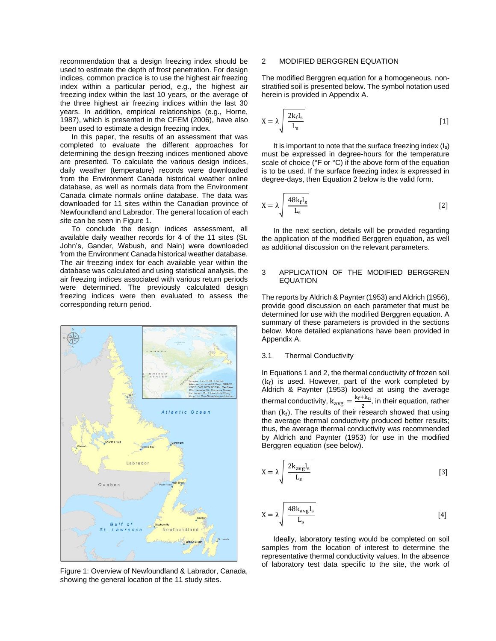recommendation that a design freezing index should be used to estimate the depth of frost penetration. For design indices, common practice is to use the highest air freezing index within a particular period, e.g., the highest air freezing index within the last 10 years, or the average of the three highest air freezing indices within the last 30 years. In addition, empirical relationships (e.g., Horne, 1987), which is presented in the CFEM (2006), have also been used to estimate a design freezing index.

In this paper, the results of an assessment that was completed to evaluate the different approaches for determining the design freezing indices mentioned above are presented. To calculate the various design indices, daily weather (temperature) records were downloaded from the Environment Canada historical weather online database, as well as normals data from the Environment Canada climate normals online database. The data was downloaded for 11 sites within the Canadian province of Newfoundland and Labrador. The general location of each site can be seen in Figure 1.

To conclude the design indices assessment, all available daily weather records for 4 of the 11 sites (St. John's, Gander, Wabush, and Nain) were downloaded from the Environment Canada historical weather database. The air freezing index for each available year within the database was calculated and using statistical analysis, the air freezing indices associated with various return periods were determined. The previously calculated design freezing indices were then evaluated to assess the corresponding return period.



Figure 1: Overview of Newfoundland & Labrador, Canada, showing the general location of the 11 study sites.

# 2 MODIFIED BERGGREN EQUATION

The modified Berggren equation for a homogeneous, nonstratified soil is presented below. The symbol notation used herein is provided in Appendix A.

$$
X = \lambda \sqrt{\frac{2k_f I_s}{L_s}}
$$
 [1]

It is important to note that the surface freezing index (Is) must be expressed in degree-hours for the temperature scale of choice (°F or °C) if the above form of the equation is to be used. If the surface freezing index is expressed in degree-days, then Equation 2 below is the valid form.

$$
X = \lambda \sqrt{\frac{48k_f I_s}{L_s}}
$$
 [2]

In the next section, details will be provided regarding the application of the modified Berggren equation, as well as additional discussion on the relevant parameters.

### 3 APPLICATION OF THE MODIFIED BERGGREN EQUATION

The reports by Aldrich & Paynter (1953) and Aldrich (1956), provide good discussion on each parameter that must be determined for use with the modified Berggren equation. A summary of these parameters is provided in the sections below. More detailed explanations have been provided in Appendix A.

#### 3.1 Thermal Conductivity

In Equations 1 and 2, the thermal conductivity of frozen soil  $(k_f)$  is used. However, part of the work completed by Aldrich & Paynter (1953) looked at using the average thermal conductivity,  $k_{avg} = \frac{k_f + k_u}{2}$  $\frac{1}{2}$ , in their equation, rather than  $(k_f)$ . The results of their research showed that using the average thermal conductivity produced better results; thus, the average thermal conductivity was recommended by Aldrich and Paynter (1953) for use in the modified Berggren equation (see below).

$$
X = \lambda \sqrt{\frac{2k_{avg}I_s}{L_s}}
$$
 [3]

$$
X = \lambda \sqrt{\frac{48k_{avg}I_s}{L_s}}
$$
 [4]

Ideally, laboratory testing would be completed on soil samples from the location of interest to determine the representative thermal conductivity values. In the absence of laboratory test data specific to the site, the work of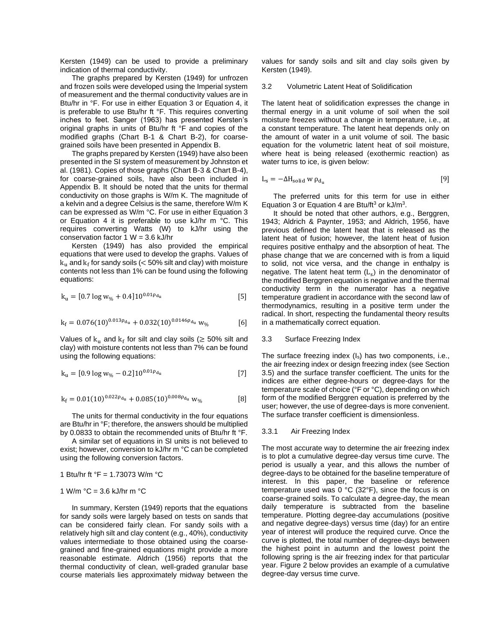Kersten (1949) can be used to provide a preliminary indication of thermal conductivity.

The graphs prepared by Kersten (1949) for unfrozen and frozen soils were developed using the Imperial system of measurement and the thermal conductivity values are in Btu/hr in °F. For use in either Equation 3 or Equation 4, it is preferable to use Btu/hr ft °F. This requires converting inches to feet. Sanger (1963) has presented Kersten's original graphs in units of Btu/hr ft °F and copies of the modified graphs (Chart B-1 & Chart B-2), for coarsegrained soils have been presented in Appendix B.

The graphs prepared by Kersten (1949) have also been presented in the SI system of measurement by Johnston et al. (1981). Copies of those graphs (Chart B-3 & Chart B-4), for coarse-grained soils, have also been included in Appendix B. It should be noted that the units for thermal conductivity on those graphs is W/m K. The magnitude of a kelvin and a degree Celsius is the same, therefore W/m K can be expressed as W/m °C. For use in either Equation 3 or Equation 4 it is preferable to use kJ/hr m °C. This requires converting Watts (W) to kJ/hr using the conservation factor  $1 W = 3.6$  kJ/hr

Kersten (1949) has also provided the empirical equations that were used to develop the graphs. Values of  ${\rm k_u}$  and  ${\rm k_f}$  for sandy soils ( $<$  50% silt and clay) with moisture contents not less than 1% can be found using the following equations:

$$
k_{u} = [0.7 \log w_{\%} + 0.4] 10^{0.01 \rho_{d_u}}
$$
 [5]

$$
k_{f} = 0.076(10)^{0.013\rho_{d_u}} + 0.032(10)^{0.0146\rho_{d_u}} w_{\theta_0}
$$
 [6]

Values of  $k_u$  and  $k_f$  for silt and clay soils ( $\geq 50\%$  silt and clay) with moisture contents not less than 7% can be found using the following equations:

$$
k_{u} = [0.9 \log w_{\%} - 0.2] 10^{0.01 \rho_{du}} \tag{7}
$$

$$
k_f = 0.01(10)^{0.022\rho_{d_u}} + 0.085(10)^{0.008\rho_{d_u}} w_{\%}
$$
 [8]

The units for thermal conductivity in the four equations are Btu/hr in °F; therefore, the answers should be multiplied by 0.0833 to obtain the recommended units of Btu/hr ft °F.

A similar set of equations in SI units is not believed to exist; however, conversion to kJ/hr m °C can be completed using the following conversion factors.

1 Btu/hr ft °F = 1.73073 W/m °C

$$
1 \text{ W/m } ^\circ\text{C} = 3.6 \text{ kJ/hr m } ^\circ\text{C}
$$

In summary, Kersten (1949) reports that the equations for sandy soils were largely based on tests on sands that can be considered fairly clean. For sandy soils with a relatively high silt and clay content (e.g., 40%), conductivity values intermediate to those obtained using the coarsegrained and fine-grained equations might provide a more reasonable estimate. Aldrich (1956) reports that the thermal conductivity of clean, well-graded granular base course materials lies approximately midway between the

values for sandy soils and silt and clay soils given by Kersten (1949).

#### 3.2 Volumetric Latent Heat of Solidification

The latent heat of solidification expresses the change in thermal energy in a unit volume of soil when the soil moisture freezes without a change in temperature, i.e., at a constant temperature. The latent heat depends only on the amount of water in a unit volume of soil. The basic equation for the volumetric latent heat of soil moisture, where heat is being released (exothermic reaction) as water turns to ice, is given below:

$$
L_s = -\Delta H_{solid} \, w \, \rho_{d_u} \tag{9}
$$

The preferred units for this term for use in either Equation 3 or Equation 4 are Btu/ft<sup>3</sup> or  $kJ/m<sup>3</sup>$ .

It should be noted that other authors, e.g., Berggren, 1943; Aldrich & Paynter, 1953; and Aldrich, 1956, have previous defined the latent heat that is released as the latent heat of fusion; however, the latent heat of fusion requires positive enthalpy and the absorption of heat. The phase change that we are concerned with is from a liquid to solid, not vice versa, and the change in enthalpy is negative. The latent heat term  $(L<sub>s</sub>)$  in the denominator of the modified Berggren equation is negative and the thermal conductivity term in the numerator has a negative temperature gradient in accordance with the second law of thermodynamics, resulting in a positive term under the radical. In short, respecting the fundamental theory results in a mathematically correct equation.

#### 3.3 Surface Freezing Index

The surface freezing index (Is) has two components, i.e., the air freezing index or design freezing index (see Section 3.5) and the surface transfer coefficient. The units for the indices are either degree-hours or degree-days for the temperature scale of choice (°F or °C), depending on which form of the modified Berggren equation is preferred by the user; however, the use of degree-days is more convenient. The surface transfer coefficient is dimensionless.

#### 3.3.1 Air Freezing Index

The most accurate way to determine the air freezing index is to plot a cumulative degree-day versus time curve. The period is usually a year, and this allows the number of degree-days to be obtained for the baseline temperature of interest. In this paper, the baseline or reference temperature used was 0 °C (32°F), since the focus is on coarse-grained soils. To calculate a degree-day, the mean daily temperature is subtracted from the baseline temperature. Plotting degree-day accumulations (positive and negative degree-days) versus time (day) for an entire year of interest will produce the required curve. Once the curve is plotted, the total number of degree-days between the highest point in autumn and the lowest point the following spring is the air freezing index for that particular year. Figure 2 below provides an example of a cumulative degree-day versus time curve.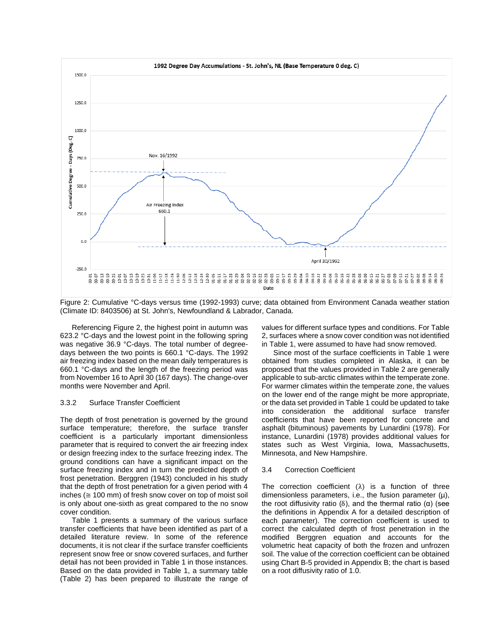

Figure 2: Cumulative °C-days versus time (1992-1993) curve; data obtained from Environment Canada weather station (Climate ID: 8403506) at St. John's, Newfoundland & Labrador, Canada.

Referencing Figure 2, the highest point in autumn was 623.2 °C-days and the lowest point in the following spring was negative 36.9 °C-days. The total number of degreedays between the two points is 660.1 °C-days. The 1992 air freezing index based on the mean daily temperatures is 660.1 °C-days and the length of the freezing period was from November 16 to April 30 (167 days). The change-over months were November and April.

#### 3.3.2 Surface Transfer Coefficient

The depth of frost penetration is governed by the ground surface temperature; therefore, the surface transfer coefficient is a particularly important dimensionless parameter that is required to convert the air freezing index or design freezing index to the surface freezing index. The ground conditions can have a significant impact on the surface freezing index and in turn the predicted depth of frost penetration. Berggren (1943) concluded in his study that the depth of frost penetration for a given period with 4 inches (≅ 100 mm) of fresh snow cover on top of moist soil is only about one-sixth as great compared to the no snow cover condition.

Table 1 presents a summary of the various surface transfer coefficients that have been identified as part of a detailed literature review. In some of the reference documents, it is not clear if the surface transfer coefficients represent snow free or snow covered surfaces, and further detail has not been provided in Table 1 in those instances. Based on the data provided in Table 1, a summary table (Table 2) has been prepared to illustrate the range of

values for different surface types and conditions. For Table 2, surfaces where a snow cover condition was not identified in Table 1, were assumed to have had snow removed.

Since most of the surface coefficients in Table 1 were obtained from studies completed in Alaska, it can be proposed that the values provided in Table 2 are generally applicable to sub-arctic climates within the temperate zone. For warmer climates within the temperate zone, the values on the lower end of the range might be more appropriate, or the data set provided in Table 1 could be updated to take into consideration the additional surface transfer coefficients that have been reported for concrete and asphalt (bituminous) pavements by Lunardini (1978). For instance, Lunardini (1978) provides additional values for states such as West Virginia, Iowa, Massachusetts, Minnesota, and New Hampshire.

#### 3.4 Correction Coefficient

The correction coefficient  $(\lambda)$  is a function of three dimensionless parameters, i.e., the fusion parameter (µ), the root diffusivity ratio (δ), and the thermal ratio (α) (see the definitions in Appendix A for a detailed description of each parameter). The correction coefficient is used to correct the calculated depth of frost penetration in the modified Berggren equation and accounts for the volumetric heat capacity of both the frozen and unfrozen soil. The value of the correction coefficient can be obtained using Chart B-5 provided in Appendix B; the chart is based on a root diffusivity ratio of 1.0.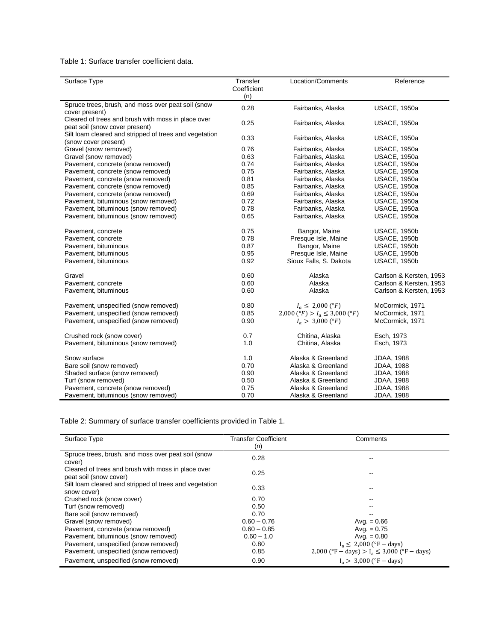Table 1: Surface transfer coefficient data.

| Surface Type                                           | Transfer<br>Coefficient<br>(n) | Location/Comments                  | Reference               |
|--------------------------------------------------------|--------------------------------|------------------------------------|-------------------------|
| Spruce trees, brush, and moss over peat soil (snow     | 0.28                           | Fairbanks, Alaska                  | <b>USACE, 1950a</b>     |
| cover present)                                         |                                |                                    |                         |
| Cleared of trees and brush with moss in place over     | 0.25                           |                                    |                         |
| peat soil (snow cover present)                         |                                | Fairbanks, Alaska                  | <b>USACE, 1950a</b>     |
| Silt loam cleared and stripped of trees and vegetation | 0.33                           | Fairbanks, Alaska                  | <b>USACE, 1950a</b>     |
| (snow cover present)                                   |                                |                                    |                         |
| Gravel (snow removed)                                  | 0.76                           | Fairbanks, Alaska                  | <b>USACE, 1950a</b>     |
| Gravel (snow removed)                                  | 0.63                           | Fairbanks, Alaska                  | <b>USACE, 1950a</b>     |
| Pavement, concrete (snow removed)                      | 0.74                           | Fairbanks, Alaska                  | <b>USACE, 1950a</b>     |
| Pavement, concrete (snow removed)                      | 0.75                           | Fairbanks, Alaska                  | <b>USACE, 1950a</b>     |
| Pavement, concrete (snow removed)                      | 0.81                           | Fairbanks, Alaska                  | <b>USACE, 1950a</b>     |
| Pavement, concrete (snow removed)                      | 0.85                           | Fairbanks, Alaska                  | <b>USACE, 1950a</b>     |
| Pavement, concrete (snow removed)                      | 0.69                           | Fairbanks, Alaska                  | <b>USACE, 1950a</b>     |
| Pavement, bituminous (snow removed)                    | 0.72                           | Fairbanks, Alaska                  | <b>USACE, 1950a</b>     |
| Pavement, bituminous (snow removed)                    | 0.78                           | Fairbanks, Alaska                  | <b>USACE, 1950a</b>     |
| Pavement, bituminous (snow removed)                    | 0.65                           | Fairbanks, Alaska                  | <b>USACE, 1950a</b>     |
| Pavement, concrete                                     | 0.75                           | Bangor, Maine                      | <b>USACE, 1950b</b>     |
| Pavement, concrete                                     | 0.78                           | Presque Isle, Maine                | <b>USACE, 1950b</b>     |
| Pavement, bituminous                                   | 0.87                           | Bangor, Maine                      | <b>USACE, 1950b</b>     |
| Pavement, bituminous                                   | 0.95                           | Presque Isle, Maine                | <b>USACE, 1950b</b>     |
| Pavement, bituminous                                   | 0.92                           | Sioux Falls, S. Dakota             | <b>USACE, 1950b</b>     |
| Gravel                                                 | 0.60                           | Alaska                             | Carlson & Kersten, 1953 |
| Pavement, concrete                                     | 0.60                           | Alaska                             | Carlson & Kersten, 1953 |
| Pavement, bituminous                                   | 0.60                           | Alaska                             | Carlson & Kersten, 1953 |
| Pavement, unspecified (snow removed)                   | 0.80                           | $I_a \leq 2,000$ (°F)              | McCormick, 1971         |
| Pavement, unspecified (snow removed)                   | 0.85                           | 2,000 (°F) > $I_a \leq 3,000$ (°F) | McCormick, 1971         |
| Pavement, unspecified (snow removed)                   | 0.90                           | $I_a > 3,000 (°F)$                 | McCormick, 1971         |
| Crushed rock (snow cover)                              | 0.7                            | Chitina, Alaska                    | Esch, 1973              |
| Pavement, bituminous (snow removed)                    | 1.0                            | Chitina, Alaska                    | Esch, 1973              |
| Snow surface                                           | 1.0                            | Alaska & Greenland                 | <b>JDAA, 1988</b>       |
| Bare soil (snow removed)                               | 0.70                           | Alaska & Greenland                 | <b>JDAA, 1988</b>       |
| Shaded surface (snow removed)                          | 0.90                           | Alaska & Greenland                 | <b>JDAA, 1988</b>       |
| Turf (snow removed)                                    | 0.50                           | Alaska & Greenland                 | <b>JDAA, 1988</b>       |
| Pavement, concrete (snow removed)                      | 0.75                           | Alaska & Greenland                 | <b>JDAA, 1988</b>       |
| Pavement, bituminous (snow removed)                    | 0.70                           | Alaska & Greenland                 | <b>JDAA, 1988</b>       |

Table 2: Summary of surface transfer coefficients provided in Table 1.

| Surface Type                                                                 | <b>Transfer Coefficient</b><br>(n) | Comments                                         |
|------------------------------------------------------------------------------|------------------------------------|--------------------------------------------------|
| Spruce trees, brush, and moss over peat soil (snow<br>cover)                 | 0.28                               |                                                  |
| Cleared of trees and brush with moss in place over<br>peat soil (snow cover) | 0.25                               |                                                  |
| Silt loam cleared and stripped of trees and vegetation<br>snow cover)        | 0.33                               |                                                  |
| Crushed rock (snow cover)                                                    | 0.70                               |                                                  |
| Turf (snow removed)                                                          | 0.50                               |                                                  |
| Bare soil (snow removed)                                                     | 0.70                               |                                                  |
| Gravel (snow removed)                                                        | $0.60 - 0.76$                      | Avg. $= 0.66$                                    |
| Pavement, concrete (snow removed)                                            | $0.60 - 0.85$                      | Avg. $= 0.75$                                    |
| Pavement, bituminous (snow removed)                                          | $0.60 - 1.0$                       | Avg. $= 0.80$                                    |
| Pavement, unspecified (snow removed)                                         | 0.80                               | $I_a \leq 2,000$ (°F – days)                     |
| Pavement, unspecified (snow removed)                                         | 0.85                               | 2,000 (°F – days) $> I_a \leq 3,000$ (°F – days) |
| Pavement, unspecified (snow removed)                                         | 0.90                               | $I_a > 3,000$ (°F – days)                        |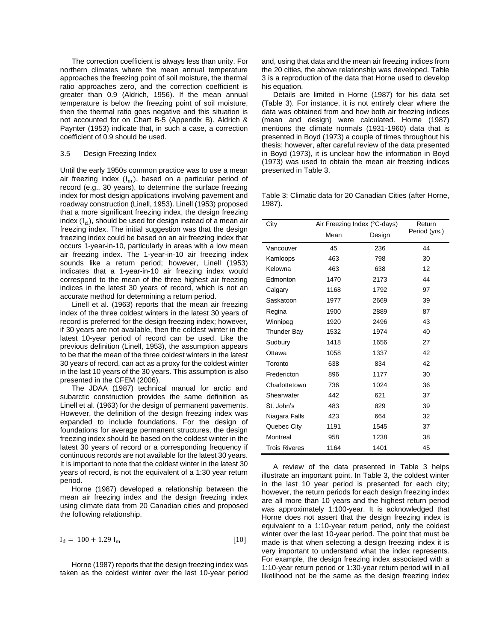The correction coefficient is always less than unity. For northern climates where the mean annual temperature approaches the freezing point of soil moisture, the thermal ratio approaches zero, and the correction coefficient is greater than 0.9 (Aldrich, 1956). If the mean annual temperature is below the freezing point of soil moisture, then the thermal ratio goes negative and this situation is not accounted for on Chart B-5 (Appendix B). Aldrich & Paynter (1953) indicate that, in such a case, a correction coefficient of 0.9 should be used.

#### 3.5 Design Freezing Index

Until the early 1950s common practice was to use a mean air freezing index  $(I_m)$ , based on a particular period of record (e.g., 30 years), to determine the surface freezing index for most design applications involving pavement and roadway construction (Linell, 1953). Linell (1953) proposed that a more significant freezing index, the design freezing index  $(I_d)$ , should be used for design instead of a mean air freezing index. The initial suggestion was that the design freezing index could be based on an air freezing index that occurs 1-year-in-10, particularly in areas with a low mean air freezing index. The 1-year-in-10 air freezing index sounds like a return period; however, Linell (1953) indicates that a 1-year-in-10 air freezing index would correspond to the mean of the three highest air freezing indices in the latest 30 years of record, which is not an accurate method for determining a return period.

Linell et al. (1963) reports that the mean air freezing index of the three coldest winters in the latest 30 years of record is preferred for the design freezing index; however, if 30 years are not available, then the coldest winter in the latest 10-year period of record can be used. Like the previous definition (Linell, 1953), the assumption appears to be that the mean of the three coldest winters in the latest 30 years of record, can act as a proxy for the coldest winter in the last 10 years of the 30 years. This assumption is also presented in the CFEM (2006).

The JDAA (1987) technical manual for arctic and subarctic construction provides the same definition as Linell et al. (1963) for the design of permanent pavements. However, the definition of the design freezing index was expanded to include foundations. For the design of foundations for average permanent structures, the design freezing index should be based on the coldest winter in the latest 30 years of record or a corresponding frequency if continuous records are not available for the latest 30 years. It is important to note that the coldest winter in the latest 30 years of record, is not the equivalent of a 1:30 year return period.

Horne (1987) developed a relationship between the mean air freezing index and the design freezing index using climate data from 20 Canadian cities and proposed the following relationship.

$$
I_d = 100 + 1.29 I_m
$$
 [10]

Horne (1987) reports that the design freezing index was taken as the coldest winter over the last 10-year period and, using that data and the mean air freezing indices from the 20 cities, the above relationship was developed. Table 3 is a reproduction of the data that Horne used to develop his equation.

Details are limited in Horne (1987) for his data set (Table 3). For instance, it is not entirely clear where the data was obtained from and how both air freezing indices (mean and design) were calculated. Horne (1987) mentions the climate normals (1931-1960) data that is presented in Boyd (1973) a couple of times throughout his thesis; however, after careful review of the data presented in Boyd (1973), it is unclear how the information in Boyd (1973) was used to obtain the mean air freezing indices presented in Table 3.

Table 3: Climatic data for 20 Canadian Cities (after Horne, 1987).

| City                 | Air Freezing Index (°C-days) | Return |               |
|----------------------|------------------------------|--------|---------------|
|                      | Mean                         | Design | Period (yrs.) |
| Vancouver            | 45                           | 236    | 44            |
| Kamloops             | 463                          | 798    | 30            |
| Kelowna              | 463                          | 638    | 12            |
| Edmonton             | 1470                         | 2173   | 44            |
| Calgary              | 1168                         | 1792   | 97            |
| Saskatoon            | 1977                         | 2669   | 39            |
| Regina               | 1900                         | 2889   | 87            |
| Winnipeg             | 1920                         | 2496   | 43            |
| <b>Thunder Bay</b>   | 1532                         | 1974   | 40            |
| Sudbury              | 1418                         | 1656   | 27            |
| Ottawa               | 1058                         | 1337   | 42            |
| Toronto              | 638                          | 834    | 42            |
| Fredericton          | 896                          | 1177   | 30            |
| Charlottetown        | 736                          | 1024   | 36            |
| Shearwater           | 442                          | 621    | 37            |
| St. John's           | 483                          | 829    | 39            |
| Niagara Falls        | 423                          | 664    | 32            |
| Quebec City          | 1191                         | 1545   | 37            |
| Montreal             | 958                          | 1238   | 38            |
| <b>Trois Riveres</b> | 1164                         | 1401   | 45            |

A review of the data presented in Table 3 helps illustrate an important point. In Table 3, the coldest winter in the last 10 year period is presented for each city; however, the return periods for each design freezing index are all more than 10 years and the highest return period was approximately 1:100-year. It is acknowledged that Horne does not assert that the design freezing index is equivalent to a 1:10-year return period, only the coldest winter over the last 10-year period. The point that must be made is that when selecting a design freezing index it is very important to understand what the index represents. For example, the design freezing index associated with a 1:10-year return period or 1:30-year return period will in all likelihood not be the same as the design freezing index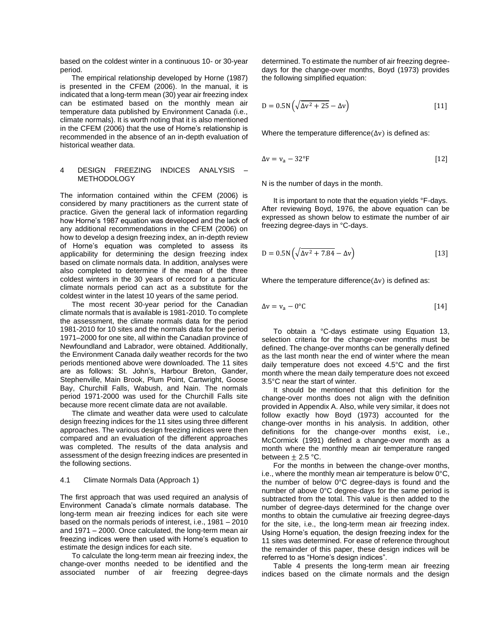based on the coldest winter in a continuous 10- or 30-year period.

The empirical relationship developed by Horne (1987) is presented in the CFEM (2006). In the manual, it is indicated that a long-term mean (30) year air freezing index can be estimated based on the monthly mean air temperature data published by Environment Canada (i.e., climate normals). It is worth noting that it is also mentioned in the CFEM (2006) that the use of Horne's relationship is recommended in the absence of an in-depth evaluation of historical weather data.

# 4 DESIGN FREEZING INDICES ANALYSIS – **METHODOLOGY**

The information contained within the CFEM (2006) is considered by many practitioners as the current state of practice. Given the general lack of information regarding how Horne's 1987 equation was developed and the lack of any additional recommendations in the CFEM (2006) on how to develop a design freezing index, an in-depth review of Horne's equation was completed to assess its applicability for determining the design freezing index based on climate normals data. In addition, analyses were also completed to determine if the mean of the three coldest winters in the 30 years of record for a particular climate normals period can act as a substitute for the coldest winter in the latest 10 years of the same period.

The most recent 30-year period for the Canadian climate normals that is available is 1981-2010. To complete the assessment, the climate normals data for the period 1981-2010 for 10 sites and the normals data for the period 1971–2000 for one site, all within the Canadian province of Newfoundland and Labrador, were obtained. Additionally, the Environment Canada daily weather records for the two periods mentioned above were downloaded. The 11 sites are as follows: St. John's, Harbour Breton, Gander, Stephenville, Main Brook, Plum Point, Cartwright, Goose Bay, Churchill Falls, Wabush, and Nain. The normals period 1971-2000 was used for the Churchill Falls site because more recent climate data are not available.

The climate and weather data were used to calculate design freezing indices for the 11 sites using three different approaches. The various design freezing indices were then compared and an evaluation of the different approaches was completed. The results of the data analysis and assessment of the design freezing indices are presented in the following sections.

#### 4.1 Climate Normals Data (Approach 1)

The first approach that was used required an analysis of Environment Canada's climate normals database. The long-term mean air freezing indices for each site were based on the normals periods of interest, i.e., 1981 – 2010 and 1971 – 2000. Once calculated, the long-term mean air freezing indices were then used with Horne's equation to estimate the design indices for each site.

To calculate the long-term mean air freezing index, the change-over months needed to be identified and the associated number of air freezing degree-days determined. To estimate the number of air freezing degreedays for the change-over months, Boyd (1973) provides the following simplified equation:

$$
D = 0.5N\left(\sqrt{\Delta v^2 + 25} - \Delta v\right)
$$
 [11]

Where the temperature difference( $\Delta v$ ) is defined as:

$$
\Delta v = v_a - 32^{\circ}F \tag{12}
$$

N is the number of days in the month.

It is important to note that the equation yields °F-days. After reviewing Boyd, 1976, the above equation can be expressed as shown below to estimate the number of air freezing degree-days in °C-days.

$$
D = 0.5N\left(\sqrt{\Delta v^2 + 7.84} - \Delta v\right)
$$
 [13]

Where the temperature difference( $\Delta v$ ) is defined as:

$$
\Delta v = v_a - 0^{\circ}C \tag{14}
$$

To obtain a °C-days estimate using Equation 13, selection criteria for the change-over months must be defined. The change-over months can be generally defined as the last month near the end of winter where the mean daily temperature does not exceed 4.5°C and the first month where the mean daily temperature does not exceed 3.5°C near the start of winter.

It should be mentioned that this definition for the change-over months does not align with the definition provided in Appendix A. Also, while very similar, it does not follow exactly how Boyd (1973) accounted for the change-over months in his analysis. In addition, other definitions for the change-over months exist, i.e., McCormick (1991) defined a change-over month as a month where the monthly mean air temperature ranged between  $\pm$  2.5 °C.

For the months in between the change-over months, i.e., where the monthly mean air temperature is below 0°C, the number of below 0°C degree-days is found and the number of above 0°C degree-days for the same period is subtracted from the total. This value is then added to the number of degree-days determined for the change over months to obtain the cumulative air freezing degree-days for the site, i.e., the long-term mean air freezing index. Using Horne's equation, the design freezing index for the 11 sites was determined. For ease of reference throughout the remainder of this paper, these design indices will be referred to as "Horne's design indices".

Table 4 presents the long-term mean air freezing indices based on the climate normals and the design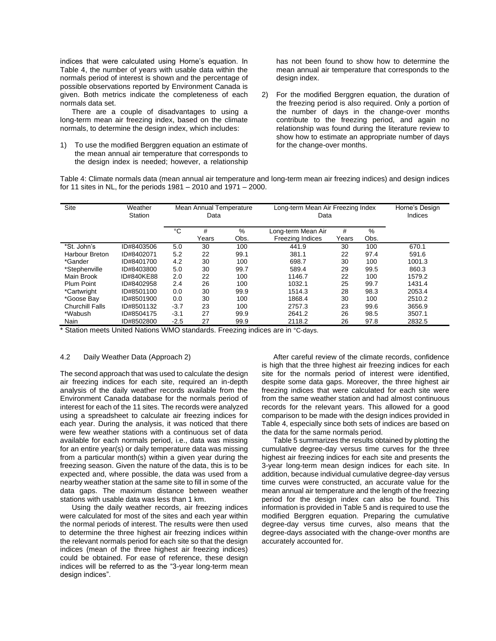indices that were calculated using Horne's equation. In Table 4, the number of years with usable data within the normals period of interest is shown and the percentage of possible observations reported by Environment Canada is given. Both metrics indicate the completeness of each normals data set.

There are a couple of disadvantages to using a long-term mean air freezing index, based on the climate normals, to determine the design index, which includes:

1) To use the modified Berggren equation an estimate of the mean annual air temperature that corresponds to the design index is needed; however, a relationship has not been found to show how to determine the mean annual air temperature that corresponds to the design index.

2) For the modified Berggren equation, the duration of the freezing period is also required. Only a portion of the number of days in the change-over months contribute to the freezing period, and again no relationship was found during the literature review to show how to estimate an appropriate number of days for the change-over months.

Table 4: Climate normals data (mean annual air temperature and long-term mean air freezing indices) and design indices for 11 sites in NL, for the periods 1981 – 2010 and 1971 – 2000.

| Site                  | Weather<br>Station |        | Mean Annual Temperature<br>Data |           | Long-term Mean Air Freezing Index<br>Data     |            | Horne's Design<br>Indices |        |
|-----------------------|--------------------|--------|---------------------------------|-----------|-----------------------------------------------|------------|---------------------------|--------|
|                       |                    | °C     | #<br>Years                      | %<br>Obs. | Long-term Mean Air<br><b>Freezing Indices</b> | #<br>Years | %<br>Obs.                 |        |
| *St. John's           | ID#8403506         | 5.0    | 30                              | 100       | 441.9                                         | 30         | 100                       | 670.1  |
| <b>Harbour Breton</b> | ID#8402071         | 5.2    | 22                              | 99.1      | 381.1                                         | 22         | 97.4                      | 591.6  |
| *Gander               | ID#8401700         | 4.2    | 30                              | 100       | 698.7                                         | 30         | 100                       | 1001.3 |
| *Stephenville         | ID#8403800         | 5.0    | 30                              | 99.7      | 589.4                                         | 29         | 99.5                      | 860.3  |
| Main Brook            | ID#840KE88         | 2.0    | 22                              | 100       | 1146.7                                        | 22         | 100                       | 1579.2 |
| <b>Plum Point</b>     | ID#8402958         | 2.4    | 26                              | 100       | 1032.1                                        | 25         | 99.7                      | 1431.4 |
| *Cartwright           | ID#8501100         | 0.0    | 30                              | 99.9      | 1514.3                                        | 28         | 98.3                      | 2053.4 |
| *Goose Bay            | ID#8501900         | 0.0    | 30                              | 100       | 1868.4                                        | 30         | 100                       | 2510.2 |
| Churchill Falls       | ID#8501132         | $-3.7$ | 23                              | 100       | 2757.3                                        | 23         | 99.6                      | 3656.9 |
| *Wabush               | ID#8504175         | $-3.1$ | 27                              | 99.9      | 2641.2                                        | 26         | 98.5                      | 3507.1 |
| Nain                  | ID#8502800         | $-2.5$ | 27                              | 99.9      | 2118.2                                        | 26         | 97.8                      | 2832.5 |

\* Station meets United Nations WMO standards. Freezing indices are in °C-days.

#### 4.2 Daily Weather Data (Approach 2)

The second approach that was used to calculate the design air freezing indices for each site, required an in-depth analysis of the daily weather records available from the Environment Canada database for the normals period of interest for each of the 11 sites. The records were analyzed using a spreadsheet to calculate air freezing indices for each year. During the analysis, it was noticed that there were few weather stations with a continuous set of data available for each normals period, i.e., data was missing for an entire year(s) or daily temperature data was missing from a particular month(s) within a given year during the freezing season. Given the nature of the data, this is to be expected and, where possible, the data was used from a nearby weather station at the same site to fill in some of the data gaps. The maximum distance between weather stations with usable data was less than 1 km.

Using the daily weather records, air freezing indices were calculated for most of the sites and each year within the normal periods of interest. The results were then used to determine the three highest air freezing indices within the relevant normals period for each site so that the design indices (mean of the three highest air freezing indices) could be obtained. For ease of reference, these design indices will be referred to as the "3-year long-term mean design indices".

After careful review of the climate records, confidence is high that the three highest air freezing indices for each site for the normals period of interest were identified, despite some data gaps. Moreover, the three highest air freezing indices that were calculated for each site were from the same weather station and had almost continuous records for the relevant years. This allowed for a good comparison to be made with the design indices provided in Table 4, especially since both sets of indices are based on the data for the same normals period.

Table 5 summarizes the results obtained by plotting the cumulative degree-day versus time curves for the three highest air freezing indices for each site and presents the 3-year long-term mean design indices for each site. In addition, because individual cumulative degree-day versus time curves were constructed, an accurate value for the mean annual air temperature and the length of the freezing period for the design index can also be found. This information is provided in Table 5 and is required to use the modified Berggren equation. Preparing the cumulative degree-day versus time curves, also means that the degree-days associated with the change-over months are accurately accounted for.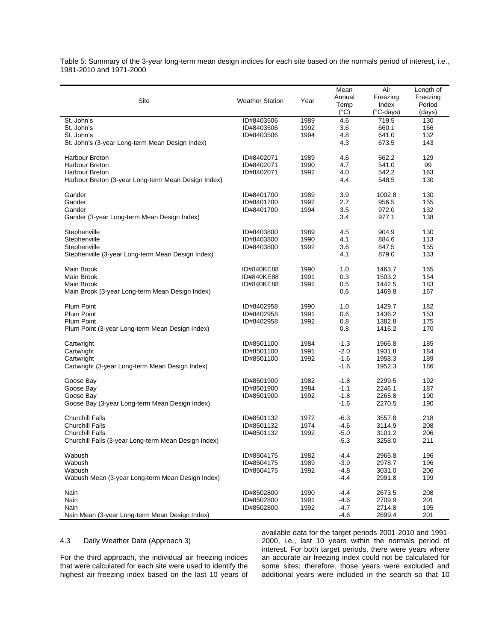Table 5: Summary of the 3-year long-term mean design indices for each site based on the normals period of interest, i.e., 1981-2010 and 1971-2000

| Site                                                 | <b>Weather Station</b> | Year | Mean<br>Annual<br>Temp | Air<br>Freezing<br>Index | Length of<br>Freezing<br>Period |
|------------------------------------------------------|------------------------|------|------------------------|--------------------------|---------------------------------|
|                                                      |                        |      | $(^{\circ}C)$          | (°C-days)                | (days)                          |
| St. John's                                           | ID#8403506             | 1989 | 4.6                    | 719.5                    | 130                             |
| St. John's                                           | ID#8403506             | 1992 | 3.6                    | 660.1                    | 166                             |
| St. John's                                           | ID#8403506             | 1994 | 4.8                    | 641.0                    | 132                             |
| St. John's (3-year Long-term Mean Design Index)      |                        |      | 4.3                    | 673.5                    | 143                             |
| <b>Harbour Breton</b>                                | ID#8402071             | 1989 | 4.6                    | 562.2                    | 129                             |
| <b>Harbour Breton</b>                                | ID#8402071             | 1990 | 4.7                    | 541.0                    | 99                              |
| Harbour Breton                                       | ID#8402071             | 1992 | 4.0                    | 542.2                    | 163                             |
| Harbour Breton (3-year Long-term Mean Design Index)  |                        |      | 4.4                    | 548.5                    | 130                             |
| Gander                                               | ID#8401700             | 1989 | 3.9                    | 1002.8                   | 130                             |
| Gander                                               | ID#8401700             | 1992 | 2.7                    | 956.5                    | 155                             |
| Gander                                               | ID#8401700             | 1994 | 3.5                    | 972.0                    | 132                             |
| Gander (3-year Long-term Mean Design Index)          |                        |      | 3.4                    | 977.1                    | 138                             |
| Stephenville                                         | ID#8403800             | 1989 | 4.5                    | 904.9                    | 130                             |
| Stephenville                                         | ID#8403800             | 1990 | 4.1                    | 884.6                    | 113                             |
| Stephenville                                         | ID#8403800             | 1992 | 3.6                    | 847.5                    | 155                             |
| Stephenville (3-year Long-term Mean Design Index)    |                        |      | 4.1                    | 879.0                    | 133                             |
|                                                      |                        |      |                        |                          |                                 |
| Main Brook                                           | ID#840KE88             | 1990 | 1.0                    | 1463.7                   | 165                             |
| Main Brook                                           | ID#840KE88             | 1991 | 0.3                    | 1503.2                   | 154                             |
| Main Brook                                           | ID#840KE88             | 1992 | 0.5                    | 1442.5                   | 183                             |
| Main Brook (3-year Long-term Mean Design Index)      |                        |      | 0.6                    | 1469.8                   | 167                             |
| Plum Point                                           | ID#8402958             | 1990 | 1.0                    | 1429.7                   | 182                             |
| Plum Point                                           | ID#8402958             | 1991 | 0.6                    | 1436.2                   | 153                             |
| <b>Plum Point</b>                                    | ID#8402958             | 1992 | 0.8                    | 1382.8                   | 175                             |
| Plum Point (3-year Long-term Mean Design Index)      |                        |      | 0.8                    | 1416.2                   | 170                             |
| Cartwright                                           | ID#8501100             | 1984 | $-1.3$                 | 1966.8                   | 185                             |
| Cartwright                                           | ID#8501100             | 1991 | $-2.0$                 | 1931.8                   | 184                             |
| Cartwright                                           | ID#8501100             | 1992 | $-1.6$                 | 1958.3                   | 189                             |
| Cartwright (3-year Long-term Mean Design Index)      |                        |      | $-1.6$                 | 1952.3                   | 186                             |
|                                                      |                        |      |                        |                          |                                 |
| Goose Bay                                            | ID#8501900             | 1982 | $-1.8$                 | 2299.5                   | 192                             |
| Goose Bay                                            | ID#8501900             | 1984 | $-1.1$                 | 2246.1                   | 187                             |
| Goose Bay                                            | ID#8501900             | 1992 | $-1.8$                 | 2265.8                   | 190                             |
| Goose Bay (3-year Long-term Mean Design Index)       |                        |      | $-1.6$                 | 2270.5                   | 190                             |
| <b>Churchill Falls</b>                               | ID#8501132             | 1972 | $-6.3$                 | 3557.8                   | 218                             |
| <b>Churchill Falls</b>                               | ID#8501132             | 1974 | $-4.6$                 | 3114.9                   | 208                             |
| <b>Churchill Falls</b>                               | ID#8501132             | 1992 | $-5.0$                 | 3101.2                   | 206                             |
| Churchill Falls (3-year Long-term Mean Design Index) |                        |      | $-5.3$                 | 3258.0                   | 211                             |
| Wabush                                               | ID#8504175             | 1982 | $-4.4$                 | 2965.8                   | 196                             |
| Wabush                                               | ID#8504175             | 1989 | $-3.9$                 | 2978.7                   | 196                             |
| Wabush                                               | ID#8504175             | 1992 | $-4.8$                 | 3031.0                   | 206                             |
| Wabush Mean (3-year Long-term Mean Design Index)     |                        |      | $-4.4$                 | 2991.8                   | 199                             |
| Nain                                                 | ID#8502800             | 1990 | $-4.4$                 | 2673.5                   | 208                             |
| Nain                                                 | ID#8502800             | 1991 | $-4.6$                 | 2709.9                   | 201                             |
| Nain                                                 | ID#8502800             | 1992 | -4.7                   | 2714.8                   | 195                             |
| Nain Mean (3-year Long-term Mean Design Index)       |                        |      | $-4.6$                 | 2699.4                   | 201                             |

4.3 Daily Weather Data (Approach 3)

For the third approach, the individual air freezing indices that were calculated for each site were used to identify the highest air freezing index based on the last 10 years of available data for the target periods 2001-2010 and 1991- 2000, i.e., last 10 years within the normals period of interest. For both target periods, there were years where an accurate air freezing index could not be calculated for some sites; therefore, those years were excluded and additional years were included in the search so that 10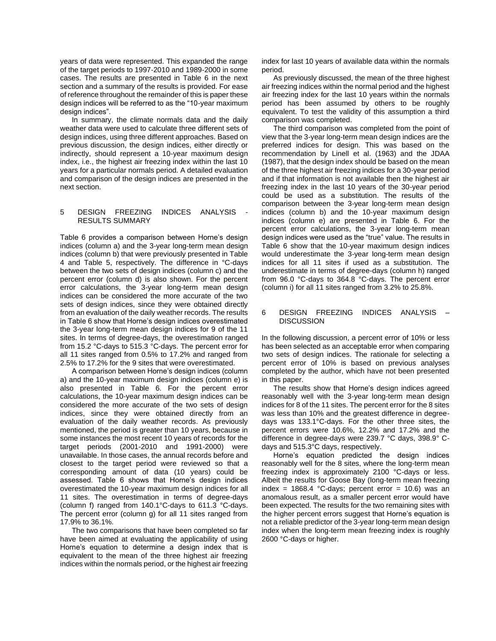years of data were represented. This expanded the range of the target periods to 1997-2010 and 1989-2000 in some cases. The results are presented in Table 6 in the next section and a summary of the results is provided. For ease of reference throughout the remainder of this is paper these design indices will be referred to as the "10-year maximum design indices".

In summary, the climate normals data and the daily weather data were used to calculate three different sets of design indices, using three different approaches. Based on previous discussion, the design indices, either directly or indirectly, should represent a 10-year maximum design index, i.e., the highest air freezing index within the last 10 years for a particular normals period. A detailed evaluation and comparison of the design indices are presented in the next section.

#### 5 DESIGN FREEZING INDICES ANALYSIS RESULTS SUMMARY

Table 6 provides a comparison between Horne's design indices (column a) and the 3-year long-term mean design indices (column b) that were previously presented in Table 4 and Table 5, respectively. The difference in °C-days between the two sets of design indices (column c) and the percent error (column d) is also shown. For the percent error calculations, the 3-year long-term mean design indices can be considered the more accurate of the two sets of design indices, since they were obtained directly from an evaluation of the daily weather records. The results in Table 6 show that Horne's design indices overestimated the 3-year long-term mean design indices for 9 of the 11 sites. In terms of degree-days, the overestimation ranged from 15.2 °C-days to 515.3 °C-days. The percent error for all 11 sites ranged from 0.5% to 17.2% and ranged from 2.5% to 17.2% for the 9 sites that were overestimated.

A comparison between Horne's design indices (column a) and the 10-year maximum design indices (column e) is also presented in Table 6. For the percent error calculations, the 10-year maximum design indices can be considered the more accurate of the two sets of design indices, since they were obtained directly from an evaluation of the daily weather records. As previously mentioned, the period is greater than 10 years, because in some instances the most recent 10 years of records for the target periods (2001-2010 and 1991-2000) were unavailable. In those cases, the annual records before and closest to the target period were reviewed so that a corresponding amount of data (10 years) could be assessed. Table 6 shows that Horne's design indices overestimated the 10-year maximum design indices for all 11 sites. The overestimation in terms of degree-days (column f) ranged from 140.1°C-days to 611.3 °C-days. The percent error (column g) for all 11 sites ranged from 17.9% to 36.1%.

The two comparisons that have been completed so far have been aimed at evaluating the applicability of using Horne's equation to determine a design index that is equivalent to the mean of the three highest air freezing indices within the normals period, or the highest air freezing

index for last 10 years of available data within the normals period.

As previously discussed, the mean of the three highest air freezing indices within the normal period and the highest air freezing index for the last 10 years within the normals period has been assumed by others to be roughly equivalent. To test the validity of this assumption a third comparison was completed.

The third comparison was completed from the point of view that the 3-year long-term mean design indices are the preferred indices for design. This was based on the recommendation by Linell et al. (1963) and the JDAA (1987), that the design index should be based on the mean of the three highest air freezing indices for a 30-year period and if that information is not available then the highest air freezing index in the last 10 years of the 30-year period could be used as a substitution. The results of the comparison between the 3-year long-term mean design indices (column b) and the 10-year maximum design indices (column e) are presented in Table 6. For the percent error calculations, the 3-year long-term mean design indices were used as the "true" value. The results in Table 6 show that the 10-year maximum design indices would underestimate the 3-year long-term mean design indices for all 11 sites if used as a substitution. The underestimate in terms of degree-days (column h) ranged from 96.0 °C-days to 364.8 °C-days. The percent error (column i) for all 11 sites ranged from 3.2% to 25.8%.

#### 6 DESIGN FREEZING INDICES ANALYSIS – **DISCUSSION**

In the following discussion, a percent error of 10% or less has been selected as an acceptable error when comparing two sets of design indices. The rationale for selecting a percent error of 10% is based on previous analyses completed by the author, which have not been presented in this paper.

The results show that Horne's design indices agreed reasonably well with the 3-year long-term mean design indices for 8 of the 11 sites. The percent error for the 8 sites was less than 10% and the greatest difference in degreedays was 133.1°C-days. For the other three sites, the percent errors were 10.6%, 12.2% and 17.2% and the difference in degree-days were 239.7 °C days, 398.9° Cdays and 515.3°C days, respectively.

Horne's equation predicted the design indices reasonably well for the 8 sites, where the long-term mean freezing index is approximately 2100 °C-days or less. Albeit the results for Goose Bay (long-term mean freezing index =  $1868.4$  °C-days; percent error =  $10.6$ ) was an anomalous result, as a smaller percent error would have been expected. The results for the two remaining sites with the higher percent errors suggest that Horne's equation is not a reliable predictor of the 3-year long-term mean design index when the long-term mean freezing index is roughly 2600 °C-days or higher.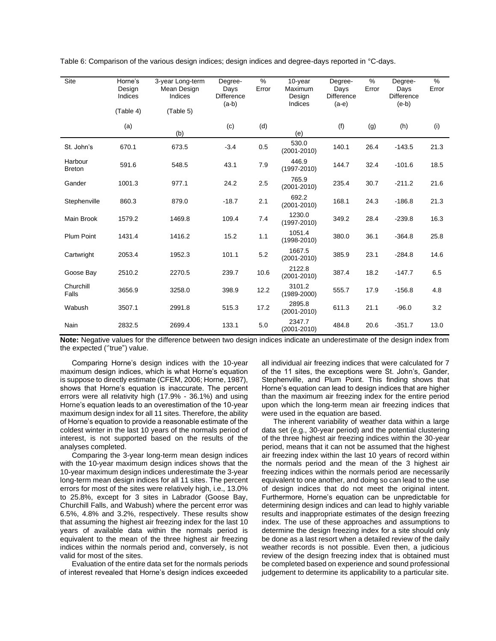| Site                     | Horne's<br>Design<br>Indices | 3-year Long-term<br>Mean Design<br>Indices | Degree-<br>Days<br><b>Difference</b><br>$(a-b)$ | %<br>Error | 10-year<br>Maximum<br>Design<br>Indices | Degree-<br>Days<br><b>Difference</b><br>$(a-e)$ | %<br>Error | Degree-<br>Days<br><b>Difference</b><br>$(e-b)$ | %<br>Error |
|--------------------------|------------------------------|--------------------------------------------|-------------------------------------------------|------------|-----------------------------------------|-------------------------------------------------|------------|-------------------------------------------------|------------|
|                          | (Table 4)                    | (Table 5)                                  |                                                 |            |                                         |                                                 |            |                                                 |            |
|                          | (a)                          | (b)                                        | (c)                                             | (d)        | (e)                                     | (f)                                             | (g)        | (h)                                             | (i)        |
| St. John's               | 670.1                        | 673.5                                      | $-3.4$                                          | 0.5        | 530.0<br>$(2001 - 2010)$                | 140.1                                           | 26.4       | $-143.5$                                        | 21.3       |
| Harbour<br><b>Breton</b> | 591.6                        | 548.5                                      | 43.1                                            | 7.9        | 446.9<br>$(1997 - 2010)$                | 144.7                                           | 32.4       | $-101.6$                                        | 18.5       |
| Gander                   | 1001.3                       | 977.1                                      | 24.2                                            | 2.5        | 765.9<br>$(2001 - 2010)$                | 235.4                                           | 30.7       | $-211.2$                                        | 21.6       |
| Stephenville             | 860.3                        | 879.0                                      | $-18.7$                                         | 2.1        | 692.2<br>$(2001 - 2010)$                | 168.1                                           | 24.3       | $-186.8$                                        | 21.3       |
| Main Brook               | 1579.2                       | 1469.8                                     | 109.4                                           | 7.4        | 1230.0<br>$(1997 - 2010)$               | 349.2                                           | 28.4       | $-239.8$                                        | 16.3       |
| <b>Plum Point</b>        | 1431.4                       | 1416.2                                     | 15.2                                            | 1.1        | 1051.4<br>$(1998 - 2010)$               | 380.0                                           | 36.1       | $-364.8$                                        | 25.8       |
| Cartwright               | 2053.4                       | 1952.3                                     | 101.1                                           | 5.2        | 1667.5<br>$(2001 - 2010)$               | 385.9                                           | 23.1       | $-284.8$                                        | 14.6       |
| Goose Bay                | 2510.2                       | 2270.5                                     | 239.7                                           | 10.6       | 2122.8<br>$(2001 - 2010)$               | 387.4                                           | 18.2       | $-147.7$                                        | 6.5        |
| Churchill<br>Falls       | 3656.9                       | 3258.0                                     | 398.9                                           | 12.2       | 3101.2<br>$(1989 - 2000)$               | 555.7                                           | 17.9       | $-156.8$                                        | 4.8        |
| Wabush                   | 3507.1                       | 2991.8                                     | 515.3                                           | 17.2       | 2895.8<br>$(2001 - 2010)$               | 611.3                                           | 21.1       | $-96.0$                                         | 3.2        |
| Nain                     | 2832.5                       | 2699.4                                     | 133.1                                           | 5.0        | 2347.7<br>$(2001 - 2010)$               | 484.8                                           | 20.6       | $-351.7$                                        | 13.0       |

Table 6: Comparison of the various design indices; design indices and degree-days reported in °C-days.

**Note:** Negative values for the difference between two design indices indicate an underestimate of the design index from the expected (''true") value.

Comparing Horne's design indices with the 10-year maximum design indices, which is what Horne's equation is suppose to directly estimate (CFEM, 2006; Horne, 1987), shows that Horne's equation is inaccurate. The percent errors were all relativity high (17.9% - 36.1%) and using Horne's equation leads to an overestimation of the 10-year maximum design index for all 11 sites. Therefore, the ability of Horne's equation to provide a reasonable estimate of the coldest winter in the last 10 years of the normals period of interest, is not supported based on the results of the analyses completed.

Comparing the 3-year long-term mean design indices with the 10-year maximum design indices shows that the 10-year maximum design indices underestimate the 3-year long-term mean design indices for all 11 sites. The percent errors for most of the sites were relatively high, i.e., 13.0% to 25.8%, except for 3 sites in Labrador (Goose Bay, Churchill Falls, and Wabush) where the percent error was 6.5%, 4.8% and 3.2%, respectively. These results show that assuming the highest air freezing index for the last 10 years of available data within the normals period is equivalent to the mean of the three highest air freezing indices within the normals period and, conversely, is not valid for most of the sites.

Evaluation of the entire data set for the normals periods of interest revealed that Horne's design indices exceeded

all individual air freezing indices that were calculated for 7 of the 11 sites, the exceptions were St. John's, Gander, Stephenville, and Plum Point. This finding shows that Horne's equation can lead to design indices that are higher than the maximum air freezing index for the entire period upon which the long-term mean air freezing indices that were used in the equation are based.

The inherent variability of weather data within a large data set (e.g., 30-year period) and the potential clustering of the three highest air freezing indices within the 30-year period, means that it can not be assumed that the highest air freezing index within the last 10 years of record within the normals period and the mean of the 3 highest air freezing indices within the normals period are necessarily equivalent to one another, and doing so can lead to the use of design indices that do not meet the original intent. Furthermore, Horne's equation can be unpredictable for determining design indices and can lead to highly variable results and inappropriate estimates of the design freezing index. The use of these approaches and assumptions to determine the design freezing index for a site should only be done as a last resort when a detailed review of the daily weather records is not possible. Even then, a judicious review of the design freezing index that is obtained must be completed based on experience and sound professional judgement to determine its applicability to a particular site.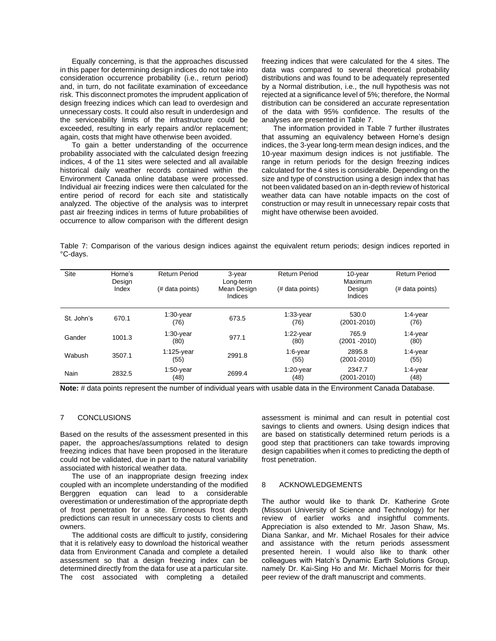Equally concerning, is that the approaches discussed in this paper for determining design indices do not take into consideration occurrence probability (i.e., return period) and, in turn, do not facilitate examination of exceedance risk. This disconnect promotes the imprudent application of design freezing indices which can lead to overdesign and unnecessary costs. It could also result in underdesign and the serviceability limits of the infrastructure could be exceeded, resulting in early repairs and/or replacement; again, costs that might have otherwise been avoided.

To gain a better understanding of the occurrence probability associated with the calculated design freezing indices, 4 of the 11 sites were selected and all available historical daily weather records contained within the Environment Canada online database were processed. Individual air freezing indices were then calculated for the entire period of record for each site and statistically analyzed. The objective of the analysis was to interpret past air freezing indices in terms of future probabilities of occurrence to allow comparison with the different design

freezing indices that were calculated for the 4 sites. The data was compared to several theoretical probability distributions and was found to be adequately represented by a Normal distribution, i.e., the null hypothesis was not rejected at a significance level of 5%; therefore, the Normal distribution can be considered an accurate representation of the data with 95% confidence. The results of the analyses are presented in Table 7.

The information provided in Table 7 further illustrates that assuming an equivalency between Horne's design indices, the 3-year long-term mean design indices, and the 10-year maximum design indices is not justifiable. The range in return periods for the design freezing indices calculated for the 4 sites is considerable. Depending on the size and type of construction using a design index that has not been validated based on an in-depth review of historical weather data can have notable impacts on the cost of construction or may result in unnecessary repair costs that might have otherwise been avoided.

Table 7: Comparison of the various design indices against the equivalent return periods; design indices reported in °C-days.

| Site       | Horne's<br>Design<br>Index | <b>Return Period</b><br>(# data points) | 3-year<br>Long-term<br>Mean Design<br>Indices | <b>Return Period</b><br>(# data points) | 10-year<br>Maximum<br>Design<br>Indices | <b>Return Period</b><br>(# data points) |
|------------|----------------------------|-----------------------------------------|-----------------------------------------------|-----------------------------------------|-----------------------------------------|-----------------------------------------|
| St. John's | 670.1                      | $1:30$ -year<br>(76)                    | 673.5                                         | $1:33$ -year<br>(76)                    | 530.0<br>$(2001 - 2010)$                | $1:4$ -year<br>(76)                     |
| Gander     | 1001.3                     | $1:30$ -year<br>(80)                    | 977.1                                         | $1:22$ -year<br>(80)                    | 765.9<br>(2001 - 2010)                  | $1:4$ -year<br>(80)                     |
| Wabush     | 3507.1                     | $1:125$ -year<br>(55)                   | 2991.8                                        | $1:6$ -year<br>(55)                     | 2895.8<br>$(2001 - 2010)$               | $1:4$ -year<br>(55)                     |
| Nain       | 2832.5                     | $1:50$ -year<br>(48)                    | 2699.4                                        | $1:20$ -year<br>(48)                    | 2347.7<br>$(2001 - 2010)$               | 1:4-year<br>(48)                        |

**Note:** # data points represent the number of individual years with usable data in the Environment Canada Database.

# 7 CONCLUSIONS

Based on the results of the assessment presented in this paper, the approaches/assumptions related to design freezing indices that have been proposed in the literature could not be validated, due in part to the natural variability associated with historical weather data.

The use of an inappropriate design freezing index coupled with an incomplete understanding of the modified Berggren equation can lead to a considerable overestimation or underestimation of the appropriate depth of frost penetration for a site. Erroneous frost depth predictions can result in unnecessary costs to clients and owners.

The additional costs are difficult to justify, considering that it is relatively easy to download the historical weather data from Environment Canada and complete a detailed assessment so that a design freezing index can be determined directly from the data for use at a particular site. The cost associated with completing a detailed assessment is minimal and can result in potential cost savings to clients and owners. Using design indices that are based on statistically determined return periods is a good step that practitioners can take towards improving design capabilities when it comes to predicting the depth of frost penetration.

#### 8 ACKNOWLEDGEMENTS

The author would like to thank Dr. Katherine Grote (Missouri University of Science and Technology) for her review of earlier works and insightful comments. Appreciation is also extended to Mr. Jason Shaw, Ms. Diana Sankar, and Mr. Michael Rosales for their advice and assistance with the return periods assessment presented herein. I would also like to thank other colleagues with Hatch's Dynamic Earth Solutions Group, namely Dr. Kai-Sing Ho and Mr. Michael Morris for their peer review of the draft manuscript and comments.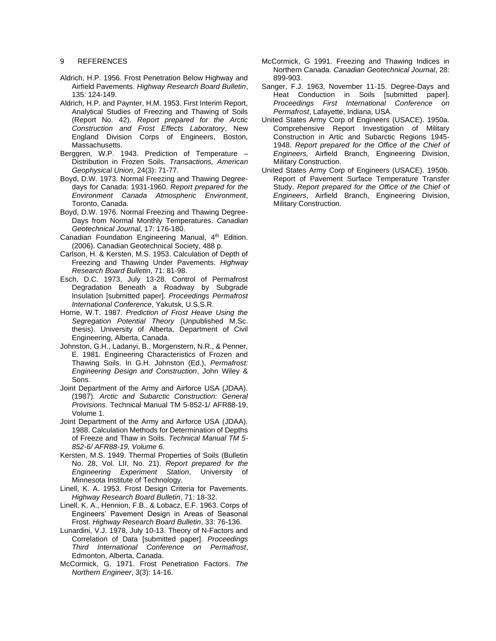#### 9 REFERENCES

- Aldrich, H.P. 1956. Frost Penetration Below Highway and Airfield Pavements. *Highway Research Board Bulletin*, 135: 124-149.
- Aldrich, H.P. and Paynter, H.M. 1953. First Interim Report, Analytical Studies of Freezing and Thawing of Soils (Report No. 42). *Report prepared for the Arctic Construction and Frost Effects Laboratory*, New England Division Corps of Engineers, Boston, Massachusetts.
- Berggren, W.P. 1943. Prediction of Temperature Distribution in Frozen Soils. *Transactions, American Geophysical Union*, 24(3): 71-77.
- Boyd, D.W. 1973. Normal Freezing and Thawing Degreedays for Canada: 1931-1960. *Report prepared for the Environment Canada Atmospheric Environment*, Toronto, Canada.
- Boyd, D.W. 1976. Normal Freezing and Thawing Degree-Days from Normal Monthly Temperatures. *Canadian Geotechnical Journal*, 17: 176-180.
- Canadian Foundation Engineering Manual, 4<sup>th</sup> Edition. (2006). Canadian Geotechnical Society, 488 p.
- Carlson, H. & Kersten, M.S. 1953. Calculation of Depth of Freezing and Thawing Under Pavements. *Highway Research Board Bulletin*, 71: 81-98.
- Esch, D.C. 1973, July 13-28. Control of Permafrost Degradation Beneath a Roadway by Subgrade Insulation [submitted paper]. *Proceedings Permafrost International Conference*, Yakutsk, U.S.S.R.
- Horne, W.T. 1987. *Prediction of Frost Heave Using the Segregation Potential Theory* (Unpublished M.Sc. thesis). University of Alberta, Department of Civil Engineering, Alberta, Canada.
- Johnston, G.H., Ladanyi, B., Morgenstern, N.R., & Penner, E. 1981. Engineering Characteristics of Frozen and Thawing Soils. In G.H. Johnston (Ed.), *Permafrost: Engineering Design and Construction*, John Wiley & Sons.
- Joint Department of the Army and Airforce USA (JDAA). (1987). *Arctic and Subarctic Construction: General Provisions*. Technical Manual TM 5-852-1/ AFR88-19, Volume 1.
- Joint Department of the Army and Airforce USA (JDAA). 1988. Calculation Methods for Determination of Depths of Freeze and Thaw in Soils. *Technical Manual TM 5- 852-6/ AFR88-19, Volume 6.*
- Kersten, M.S. 1949. Thermal Properties of Soils (Bulletin No. 28, Vol. LII, No. 21). *Report prepared for the Engineering Experiment Station*, University of Minnesota Institute of Technology.
- Linell, K. A. 1953. Frost Design Criteria for Pavements. *Highway Research Board Bulletin*, 71: 18-32.
- Linell, K. A., Hennion, F.B., & Lobacz, E.F. 1963. Corps of Engineers' Pavement Design in Areas of Seasonal Frost. *Highway Research Board Bulletin*, 33: 76-136.
- Lunardini, V.J. 1978, July 10-13. Theory of N-Factors and Correlation of Data [submitted paper]. *Proceedings Third International Conference on Permafrost*, Edmonton, Alberta, Canada.
- McCormick, G. 1971. Frost Penetration Factors. *The Northern Engineer*, 3(3): 14-16.
- McCormick, G 1991. Freezing and Thawing Indices in Northern Canada. *Canadian Geotechnical Journal*, 28: 899-903.
- Sanger, F.J. 1963, November 11-15. Degree-Days and Heat Conduction in Soils [submitted paper]. *Proceedings First International Conference on Permafrost*, Lafayette, Indiana, USA.
- United States Army Corp of Engineers (USACE). 1950a*.*  Comprehensive Report Investigation of Military Construction in Artic and Subarctic Regions 1945- 1948. *Report prepared for the Office of the Chief of Engineers,* Airfield Branch, Engineering Division, Military Construction.
- United States Army Corp of Engineers (USACE). 1950b. Report of Pavement Surface Temperature Transfer Study. *Report prepared for the Office of the Chief of Engineers*, Airfield Branch, Engineering Division, Military Construction.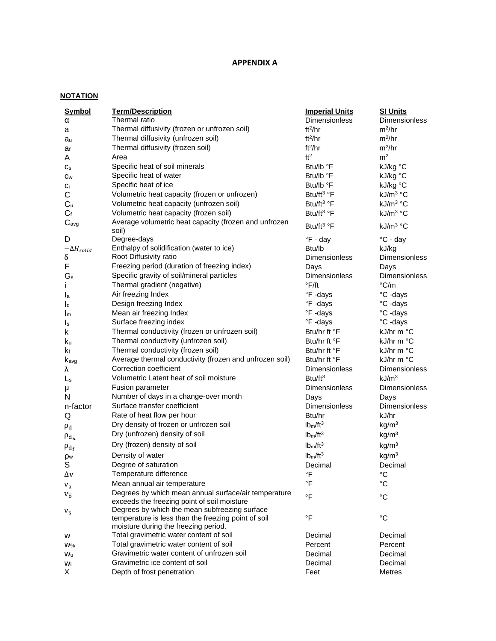# **APPENDIX A**

# **NOTATION**

| <b>Symbol</b>             | <b>Term/Description</b>                                                                                                                      | <b>Imperial Units</b>            | <b>SI Units</b>      |
|---------------------------|----------------------------------------------------------------------------------------------------------------------------------------------|----------------------------------|----------------------|
| α                         | Thermal ratio                                                                                                                                | Dimensionless                    | Dimensionless        |
| а                         | Thermal diffusivity (frozen or unfrozen soil)                                                                                                | ft <sup>2</sup> /hr              | $m^2/hr$             |
| au                        | Thermal diffusivity (unfrozen soil)                                                                                                          | ft <sup>2</sup> /hr              | $m^2/hr$             |
| af                        | Thermal diffusivity (frozen soil)                                                                                                            | ft <sup>2</sup> /hr              | $m^2/hr$             |
| A                         | Area                                                                                                                                         | ft <sup>2</sup>                  | m <sup>2</sup>       |
| $\mathtt{C}_{\mathtt{S}}$ | Specific heat of soil minerals                                                                                                               | Btu/lb °F                        | kJ/kg °C             |
| $c_{\rm w}$               | Specific heat of water                                                                                                                       | Btu/lb °F                        | kJ/kg °C             |
| Ci                        | Specific heat of ice                                                                                                                         | Btu/lb °F                        | kJ/kg °C             |
| C                         | Volumetric heat capacity (frozen or unfrozen)                                                                                                | Btu/ft <sup>3</sup> °F           | kJ/m <sup>3</sup> °C |
| C <sub>u</sub>            | Volumetric heat capacity (unfrozen soil)                                                                                                     | Btu/ft <sup>3</sup> °F           | kJ/m <sup>3</sup> °C |
| $C_{\text{f}}$            | Volumetric heat capacity (frozen soil)                                                                                                       | Btu/ft <sup>3</sup> °F           | kJ/m <sup>3</sup> °C |
| C <sub>avg</sub>          | Average volumetric heat capacity (frozen and unfrozen                                                                                        |                                  |                      |
|                           | soil)                                                                                                                                        | Btu/ft <sup>3</sup> °F           | kJ/m <sup>3</sup> °C |
| D                         | Degree-days                                                                                                                                  | $\degree$ F - day                | $\degree$ C - day    |
| $-\Delta H_{solid}$       | Enthalpy of solidification (water to ice)                                                                                                    | Btu/lb                           | kJ/kg                |
| δ                         | Root Diffusivity ratio                                                                                                                       | Dimensionless                    | Dimensionless        |
| F                         | Freezing period (duration of freezing index)                                                                                                 | Days                             | Days                 |
| $G_s$                     | Specific gravity of soil/mineral particles                                                                                                   | Dimensionless                    | <b>Dimensionless</b> |
| L                         | Thermal gradient (negative)                                                                                                                  | $\degree$ F/ft                   | °C/m                 |
| $I_{\mathsf{a}}$          | Air freezing Index                                                                                                                           | °F-days                          | °C -days             |
| $\mathsf{I}_{d}$          | Design freezing Index                                                                                                                        | °F-days                          | °C -days             |
| $I_{m}$                   | Mean air freezing Index                                                                                                                      | °F-days                          | °C-days              |
| Is                        | Surface freezing index                                                                                                                       | °F-days                          | °C -days             |
| k                         | Thermal conductivity (frozen or unfrozen soil)                                                                                               | Btu/hr ft °F                     | kJ/hr m °C           |
| ku                        | Thermal conductivity (unfrozen soil)                                                                                                         | Btu/hr ft °F                     | kJ/hr m $^{\circ}$ C |
| Κf                        | Thermal conductivity (frozen soil)                                                                                                           | Btu/hr ft °F                     | kJ/hr m °C           |
| Kavg                      | Average thermal conductivity (frozen and unfrozen soil)                                                                                      | Btu/hr ft °F                     | kJ/hr m °C           |
| λ                         | Correction coefficient                                                                                                                       | <b>Dimensionless</b>             | <b>Dimensionless</b> |
| $\mathsf{L}_\mathsf{S}$   | Volumetric Latent heat of soil moisture                                                                                                      | Btu/ft <sup>3</sup>              | kJ/m <sup>3</sup>    |
|                           | <b>Fusion parameter</b>                                                                                                                      | <b>Dimensionless</b>             | <b>Dimensionless</b> |
| μ<br>N                    | Number of days in a change-over month                                                                                                        | Days                             | Days                 |
| n-factor                  | Surface transfer coefficient                                                                                                                 | <b>Dimensionless</b>             | <b>Dimensionless</b> |
| Q                         | Rate of heat flow per hour                                                                                                                   | Btu/hr                           | kJ/hr                |
|                           | Dry density of frozen or unfrozen soil                                                                                                       | lb <sub>m</sub> /ft <sup>3</sup> | kg/m <sup>3</sup>    |
| $\rho_d$                  | Dry (unfrozen) density of soil                                                                                                               | lb <sub>m</sub> /ft <sup>3</sup> |                      |
| $\rho_{d_u}$              |                                                                                                                                              |                                  | kg/m <sup>3</sup>    |
| $\rho_{d_f}$              | Dry (frozen) density of soil                                                                                                                 | lb <sub>m</sub> /ft <sup>3</sup> | kg/m <sup>3</sup>    |
| ρw                        | Density of water                                                                                                                             | lb <sub>m</sub> /ft <sup>3</sup> | kg/m <sup>3</sup>    |
| S                         | Degree of saturation                                                                                                                         | Decimal                          | Decimal              |
| Δv                        | Temperature difference                                                                                                                       | $\,^{\circ}\mathsf{F}$           | $^{\circ}{\rm C}$    |
| $V_a$                     | Mean annual air temperature                                                                                                                  | $\overline{F}$                   | °C                   |
| $V_{\overline{0}}$        | Degrees by which mean annual surface/air temperature<br>exceeds the freezing point of soil moisture                                          | $\mathsf{P}$                     | $^{\circ}C$          |
| $V_{\overline{S}}$        | Degrees by which the mean subfreezing surface<br>temperature is less than the freezing point of soil<br>moisture during the freezing period. | $\mathsf{P}$                     | $^{\circ}C$          |
| w                         | Total gravimetric water content of soil                                                                                                      | Decimal                          | Decimal              |
| $W\%$                     | Total gravimetric water content of soil                                                                                                      | Percent                          | Percent              |
| Wu                        | Gravimetric water content of unfrozen soil                                                                                                   | Decimal                          | Decimal              |
| Wi                        | Gravimetric ice content of soil                                                                                                              | Decimal                          | Decimal              |
| X                         | Depth of frost penetration                                                                                                                   | Feet                             | Metres               |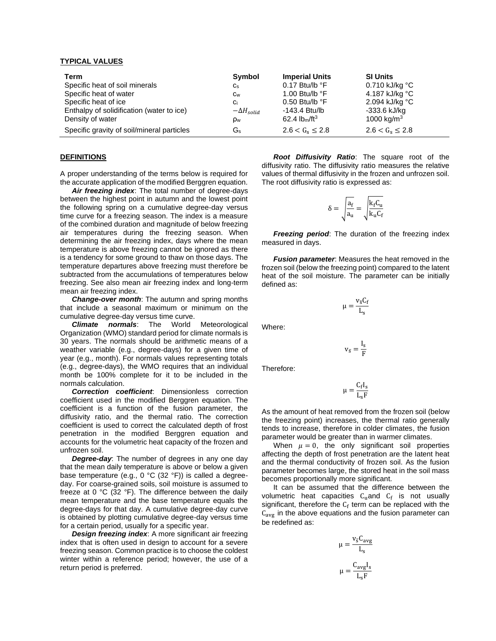#### **TYPICAL VALUES**

| Term                                       | Symbol              | <b>Imperial Units</b>     | <b>SI Units</b>            |
|--------------------------------------------|---------------------|---------------------------|----------------------------|
| Specific heat of soil minerals             | $C_{S}$             | $0.17$ Btu/lb $\degree$ F | $0.710$ kJ/kg $^{\circ}$ C |
| Specific heat of water                     | Cw                  | 1.00 Btu/lb $\degree$ F   | 4.187 kJ/kg °C             |
| Specific heat of ice                       | Ci                  | $0.50$ Btu/lb $\degree$ F | 2.094 kJ/kg °C             |
| Enthalpy of solidification (water to ice)  | $-\Delta H_{solid}$ | -143.4 Btu/lb             | -333.6 kJ/kg               |
| Density of water                           | p <sub>w</sub>      | 62.4 $lbm/ft^3$           | 1000 kg/m <sup>3</sup>     |
| Specific gravity of soil/mineral particles | Gs                  | $2.6 < G_s \leq 2.8$      | $2.6 < G_s \leq 2.8$       |

#### **DEFINITIONS**

A proper understanding of the terms below is required for the accurate application of the modified Berggren equation.

*Air freezing index*: The total number of degree-days between the highest point in autumn and the lowest point the following spring on a cumulative degree-day versus time curve for a freezing season. The index is a measure of the combined duration and magnitude of below freezing air temperatures during the freezing season. When determining the air freezing index, days where the mean temperature is above freezing cannot be ignored as there is a tendency for some ground to thaw on those days. The temperature departures above freezing must therefore be subtracted from the accumulations of temperatures below freezing. See also mean air freezing index and long-term mean air freezing index.

*Change-over month*: The autumn and spring months that include a seasonal maximum or minimum on the cumulative degree-day versus time curve.

*Climate normals*: The World Meteorological Organization (WMO) standard period for climate normals is 30 years. The normals should be arithmetic means of a weather variable (e.g., degree-days) for a given time of year (e.g., month). For normals values representing totals (e.g., degree-days), the WMO requires that an individual month be 100% complete for it to be included in the normals calculation.

*Correction coefficient*: Dimensionless correction coefficient used in the modified Berggren equation. The coefficient is a function of the fusion parameter, the diffusivity ratio, and the thermal ratio. The correction coefficient is used to correct the calculated depth of frost penetration in the modified Berggren equation and accounts for the volumetric heat capacity of the frozen and unfrozen soil.

*Degree-day*: The number of degrees in any one day that the mean daily temperature is above or below a given base temperature (e.g., 0 °C (32 °F)) is called a degreeday. For coarse-grained soils, soil moisture is assumed to freeze at 0 °C (32 °F). The difference between the daily mean temperature and the base temperature equals the degree-days for that day. A cumulative degree-day curve is obtained by plotting cumulative degree-day versus time for a certain period, usually for a specific year.

*Design freezing index*: A more significant air freezing index that is often used in design to account for a severe freezing season. Common practice is to choose the coldest winter within a reference period; however, the use of a return period is preferred.

*Root Diffusivity Ratio*: The square root of the diffusivity ratio. The diffusivity ratio measures the relative values of thermal diffusivity in the frozen and unfrozen soil. The root diffusivity ratio is expressed as:

$$
\delta = \sqrt{\frac{a_f}{a_u}} = \sqrt{\frac{k_f C_u}{k_u C_f}}
$$

*Freezing period*: The duration of the freezing index measured in days.

*Fusion parameter*: Measures the heat removed in the frozen soil (below the freezing point) compared to the latent heat of the soil moisture. The parameter can be initially defined as:

$$
\mu = \frac{v_{\bar{s}} C_f}{L_s}
$$

Where:

$$
v_{\bar{s}}=\frac{I_s}{F}
$$

Therefore:

$$
\mu=\frac{C_f I_s}{L_s F}
$$

As the amount of heat removed from the frozen soil (below the freezing point) increases, the thermal ratio generally tends to increase, therefore in colder climates, the fusion parameter would be greater than in warmer climates.

When  $\mu = 0$ , the only significant soil properties affecting the depth of frost penetration are the latent heat and the thermal conductivity of frozen soil. As the fusion parameter becomes large, the stored heat in the soil mass becomes proportionally more significant.

It can be assumed that the difference between the volumetric heat capacities  $C_{u}$ and  $C_{f}$  is not usually significant, therefore the  $C_f$  term can be replaced with the  $C_{\text{avg}}$  in the above equations and the fusion parameter can be redefined as:

$$
\mu = \frac{v_{\overline{s}} C_{avg}}{L_s}
$$

$$
\mu = \frac{C_{avg} I_s}{L_s F}
$$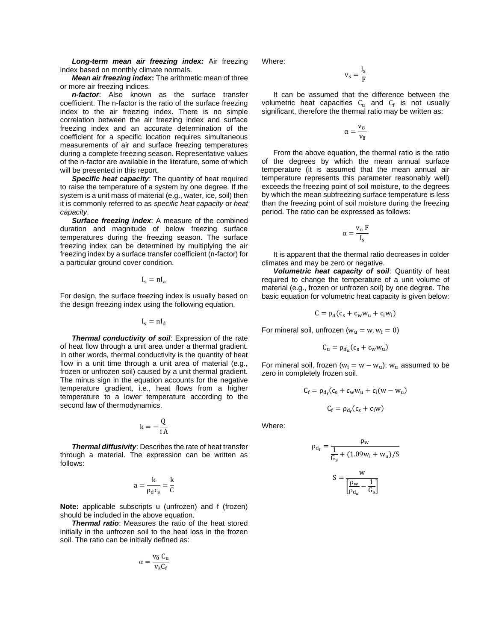*Long-term mean air freezing index:* Air freezing index based on monthly climate normals.

*Mean air freezing index***:** The arithmetic mean of three or more air freezing indices.

*n-factor*: Also known as the surface transfer coefficient. The n-factor is the ratio of the surface freezing index to the air freezing index. There is no simple correlation between the air freezing index and surface freezing index and an accurate determination of the coefficient for a specific location requires simultaneous measurements of air and surface freezing temperatures during a complete freezing season. Representative values of the n-factor are available in the literature, some of which will be presented in this report.

*Specific heat capacity*: The quantity of heat required to raise the temperature of a system by one degree. If the system is a unit mass of material (e.g., water, ice, soil) then it is commonly referred to as *specific heat capacity* or *heat capacity*.

*Surface freezing index*: A measure of the combined duration and magnitude of below freezing surface temperatures during the freezing season. The surface freezing index can be determined by multiplying the air freezing index by a surface transfer coefficient (n-factor) for a particular ground cover condition.

$$
I_s = nI_a
$$

For design, the surface freezing index is usually based on the design freezing index using the following equation.

$$
I_s = nI_d
$$

*Thermal conductivity of soil*: Expression of the rate of heat flow through a unit area under a thermal gradient. In other words, thermal conductivity is the quantity of heat flow in a unit time through a unit area of material (e.g., frozen or unfrozen soil) caused by a unit thermal gradient. The minus sign in the equation accounts for the negative temperature gradient, i.e., heat flows from a higher temperature to a lower temperature according to the second law of thermodynamics.

$$
k = -\frac{Q}{i A}
$$

*Thermal diffusivity*: Describes the rate of heat transfer through a material. The expression can be written as follows:

$$
a=\frac{k}{\rho_d c_s}=\frac{k}{C}
$$

**Note:** applicable subscripts u (unfrozen) and f (frozen) should be included in the above equation.

*Thermal ratio*: Measures the ratio of the heat stored initially in the unfrozen soil to the heat loss in the frozen soil. The ratio can be initially defined as:

$$
\alpha = \frac{v_{\overline{0}} \; C_u}{v_{\overline{s}} C_f}
$$

Where:

$$
v_{\overline{s}}=\frac{I_s}{F}
$$

It can be assumed that the difference between the volumetric heat capacities  $C_u$  and  $C_f$  is not usually significant, therefore the thermal ratio may be written as:

$$
\alpha=\frac{v_{\overline{0}}}{v_{\overline{s}}}
$$

From the above equation, the thermal ratio is the ratio of the degrees by which the mean annual surface temperature (it is assumed that the mean annual air temperature represents this parameter reasonably well) exceeds the freezing point of soil moisture, to the degrees by which the mean subfreezing surface temperature is less than the freezing point of soil moisture during the freezing period. The ratio can be expressed as follows:

$$
\alpha=\frac{v_{\overline{0}}\ F}{I_s}
$$

It is apparent that the thermal ratio decreases in colder climates and may be zero or negative.

*Volumetric heat capacity of soil*: Quantity of heat required to change the temperature of a unit volume of material (e.g., frozen or unfrozen soil) by one degree. The basic equation for volumetric heat capacity is given below:

$$
C = \rho_d (c_s + c_w w_u + c_i w_i)
$$

For mineral soil, unfrozen ( $w<sub>u</sub> = w, w<sub>i</sub> = 0$ )

$$
C_{\rm u} = \rho_{d_u}(c_{\rm s} + c_{\rm w} w_{\rm u})
$$

For mineral soil, frozen ( $w_i = w - w_u$ );  $w_u$  assumed to be zero in completely frozen soil.

$$
C_f = \rho_{d_f}(c_s + c_w w_u + c_i(w - w_u)
$$

$$
C_f = \rho_{d_f}(c_s + c_i w)
$$

Where:

$$
\rho_{d_f} = \frac{\rho_w}{\frac{1}{G_s} + (1.09w_i + w_u)/S}
$$

$$
S = \frac{w}{\left[\frac{\rho_w}{\rho_{d_u}} - \frac{1}{G_s}\right]}
$$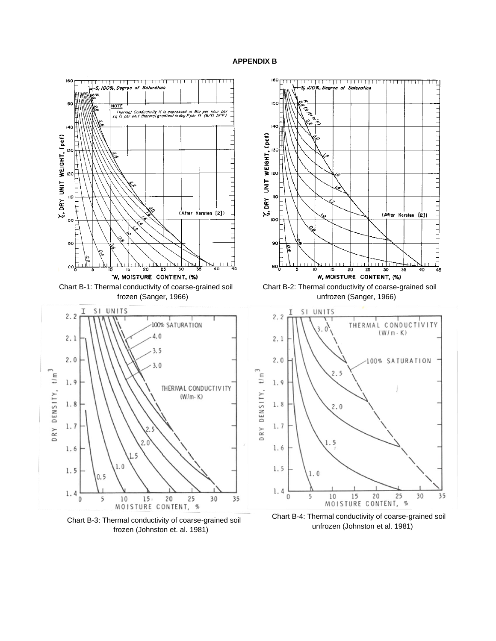# **APPENDIX B**



Chart B-3: Thermal conductivity of coarse-grained soil frozen (Johnston et. al. 1981)

Chart B-4: Thermal conductivity of coarse-grained soil unfrozen (Johnston et al. 1981)